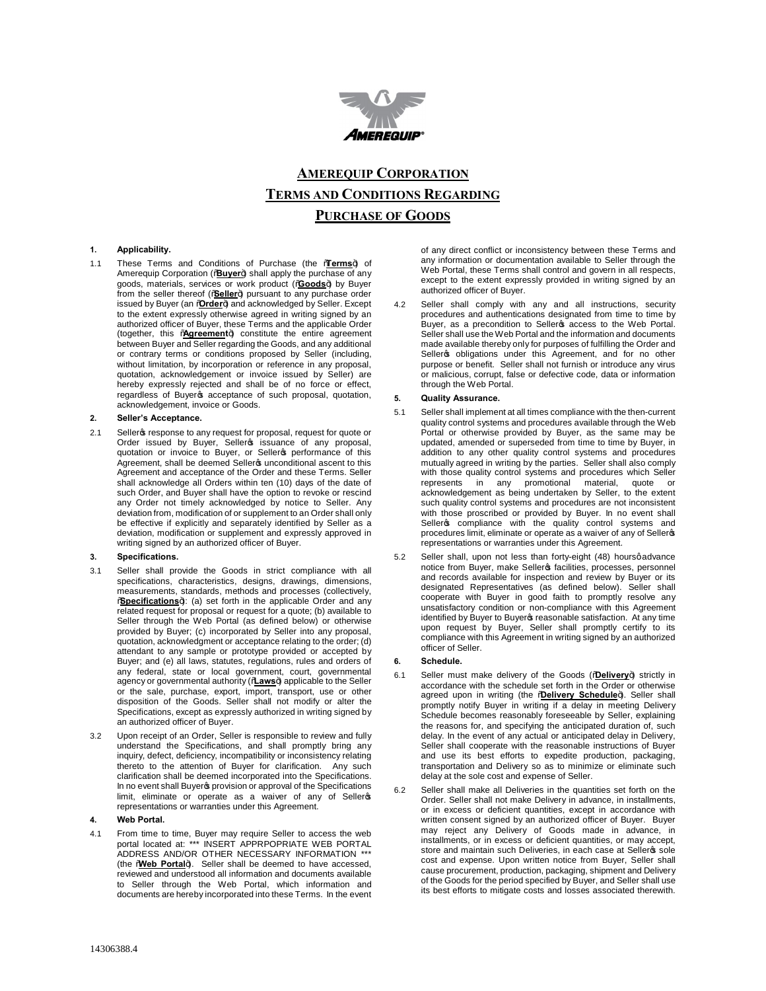

# **AMEREQUIP CORPORATION TERMS AND CONDITIONS REGARDING PURCHASE OF GOODS**

## **1. Applicability.**

1.1 These Terms and Conditions of Purchase (the **Lerms**+) of Amerequip Corporation ('Buyer+) shall apply the purchase of any goods, materials, services or work product ("**Goods**") by Buyer from the seller thereof (% eller+) pursuant to any purchase order issued by Buyer (an *Order+)* and acknowledged by Seller. Except to the extent expressly otherwise agreed in writing signed by an authorized officer of Buyer, these Terms and the applicable Order (together, this %Agreement+) constitute the entire agreement between Buyer and Seller regarding the Goods, and any additional or contrary terms or conditions proposed by Seller (including, without limitation, by incorporation or reference in any proposal, quotation, acknowledgement or invoice issued by Seller) are hereby expressly rejected and shall be of no force or effect, regardless of Buyer acceptance of such proposal, quotation, acknowledgement, invoice or Goods.

#### **2. Seller's Acceptance.**

2.1 Seller presponse to any request for proposal, request for quote or Order issued by Buyer, Sellers issuance of any proposal,<br>quotation or invoice to Buyer, or Sellers performance of this Agreement, shall be deemed Sellers unconditional ascent to this Agreement and acceptance of the Order and these Terms. Seller shall acknowledge all Orders within ten (10) days of the date of such Order, and Buyer shall have the option to revoke or rescind any Order not timely acknowledged by notice to Seller. Any deviation from, modification of or supplement to an Order shall only be effective if explicitly and separately identified by Seller as a deviation, modification or supplement and expressly approved in writing signed by an authorized officer of Buyer.

# **3. Specifications.**

- 3.1 Seller shall provide the Goods in strict compliance with all specifications, characteristics, designs, drawings, dimensions, measurements, standards, methods and processes (collectively, **Specifications**+): (a) set forth in the applicable Order and any related request for proposal or request for a quote; (b) available to Seller through the Web Portal (as defined below) or otherwise provided by Buyer; (c) incorporated by Seller into any proposal, quotation, acknowledgment or acceptance relating to the order; (d) attendant to any sample or prototype provided or accepted by Buyer; and (e) all laws, statutes, regulations, rules and orders of any federal, state or local government, court, governmental agency or governmental authority ("**Laws**") applicable to the Seller or the sale, purchase, export, import, transport, use or other disposition of the Goods. Seller shall not modify or alter the Specifications, except as expressly authorized in writing signed by an authorized officer of Buyer.
- 3.2 Upon receipt of an Order, Seller is responsible to review and fully understand the Specifications, and shall promptly bring any inquiry, defect, deficiency, incompatibility or inconsistency relating thereto to the attention of Buyer for clarification. Any such clarification shall be deemed incorporated into the Specifications. In no event shall Buyer sprovision or approval of the Specifications limit, eliminate or operate as a waiver of any of Selleros representations or warranties under this Agreement.

### **4. Web Portal.**

4.1 From time to time, Buyer may require Seller to access the web portal located at: \*\*\* INSERT APPRPOPRIATE WEB PORTAL ADDRESS AND/OR OTHER NECESSARY INFORMATION \*\*\* (the Web Portal+). Seller shall be deemed to have accessed, reviewed and understood all information and documents available to Seller through the Web Portal, which information and documents are hereby incorporated into these Terms. In the event

of any direct conflict or inconsistency between these Terms and any information or documentation available to Seller through the Web Portal, these Terms shall control and govern in all respects, except to the extent expressly provided in writing signed by an authorized officer of Buyer.

4.2 Seller shall comply with any and all instructions, security procedures and authentications designated from time to time by Buyer, as a precondition to Seller access to the Web Portal. Seller shall use the Web Portal and the information and documents made available thereby only for purposes of fulfilling the Order and Seller<sub>s</sub> obligations under this Agreement, and for no other purpose or benefit. Seller shall not furnish or introduce any virus or malicious, corrupt, false or defective code, data or information through the Web Portal.

#### **5. Quality Assurance.**

- 5.1 Seller shall implement at all times compliance with the then-current quality control systems and procedures available through the Web Portal or otherwise provided by Buyer, as the same may be updated, amended or superseded from time to time by Buyer, in addition to any other quality control systems and procedures mutually agreed in writing by the parties. Seller shall also comply with those quality control systems and procedures which Seller represents in any promotional material, quote or acknowledgement as being undertaken by Seller, to the extent such quality control systems and procedures are not inconsistent with those proscribed or provided by Buyer. In no event shall Seller<sub>g</sub> compliance with the quality control systems and procedures limit, eliminate or operate as a waiver of any of Selleros representations or warranties under this Agreement.
- 5.2 Seller shall, upon not less than forty-eight (48) hoursqadvance notice from Buyer, make Sellero facilities, processes, personnel and records available for inspection and review by Buyer or its designated Representatives (as defined below). Seller shall cooperate with Buyer in good faith to promptly resolve any unsatisfactory condition or non-compliance with this Agreement identified by Buyer to Buyer of reasonable satisfaction. At any time upon request by Buyer, Seller shall promptly certify to its compliance with this Agreement in writing signed by an authorized officer of Seller.

# **6. Schedule.**

- 6.1 Seller must make delivery of the Goods ("**Delivery**+) strictly in accordance with the schedule set forth in the Order or otherwise agreed upon in writing (the Youlivery Schedule+). Seller shall promptly notify Buyer in writing if a delay in meeting Delivery Schedule becomes reasonably foreseeable by Seller, explaining the reasons for, and specifying the anticipated duration of, such delay. In the event of any actual or anticipated delay in Delivery, Seller shall cooperate with the reasonable instructions of Buyer and use its best efforts to expedite production, packaging, transportation and Delivery so as to minimize or eliminate such delay at the sole cost and expense of Seller.
- 6.2 Seller shall make all Deliveries in the quantities set forth on the Order. Seller shall not make Delivery in advance, in installments, or in excess or deficient quantities, except in accordance with written consent signed by an authorized officer of Buyer. Buyer may reject any Delivery of Goods made in advance, in installments, or in excess or deficient quantities, or may accept, store and maintain such Deliveries, in each case at Selleros sole cost and expense. Upon written notice from Buyer, Seller shall cause procurement, production, packaging, shipment and Delivery of the Goods for the period specified by Buyer, and Seller shall use its best efforts to mitigate costs and losses associated therewith.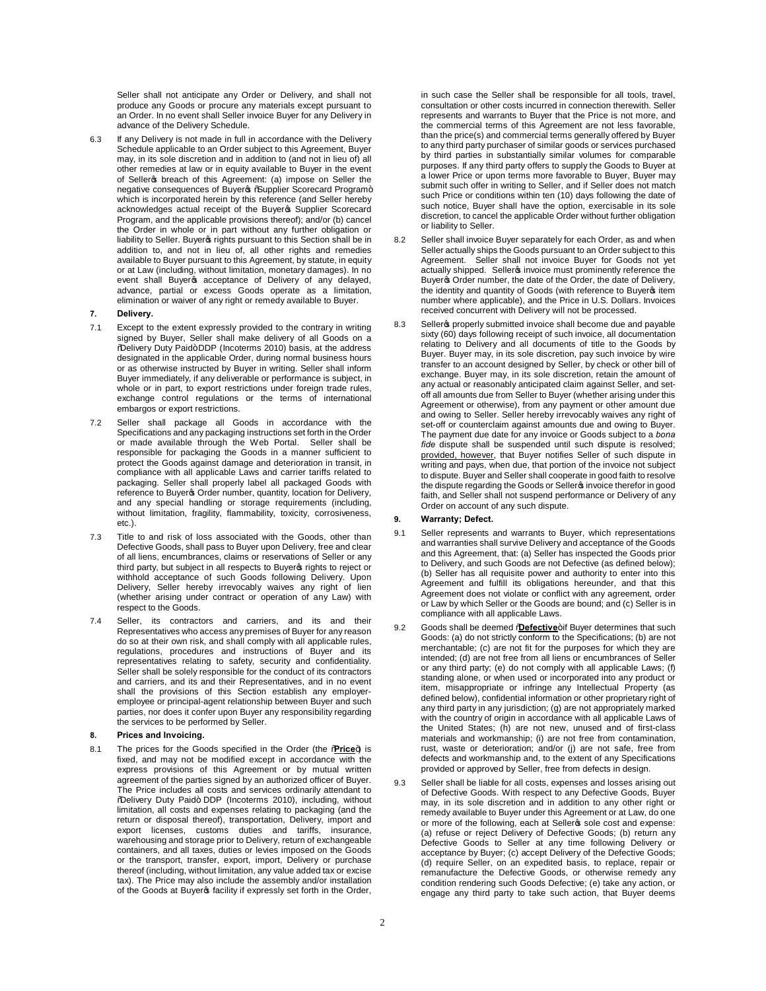Seller shall not anticipate any Order or Delivery, and shall not produce any Goods or procure any materials except pursuant to an Order. In no event shall Seller invoice Buyer for any Delivery in advance of the Delivery Schedule.

- 6.3 If any Delivery is not made in full in accordance with the Delivery Schedule applicable to an Order subject to this Agreement, Buyer may, in its sole discretion and in addition to (and not in lieu of) all other remedies at law or in equity available to Buyer in the event of Seller p breach of this Agreement: (a) impose on Seller the negative consequences of Buyeros % Supplier Scorecard Program+ which is incorporated herein by this reference (and Seller hereby acknowledges actual receipt of the Buyer of Supplier Scorecard Program, and the applicable provisions thereof); and/or (b) cancel the Order in whole or in part without any further obligation or liability to Seller. Buyer ights pursuant to this Section shall be in addition to, and not in lieu of, all other rights and remedies available to Buyer pursuant to this Agreement, by statute, in equity or at Law (including, without limitation, monetary damages). In no event shall Buyers acceptance of Delivery of any delayed, advance, partial or excess Goods operate as a limitation, elimination or waiver of any right or remedy available to Buyer.
- **7. Delivery.**
- 7.1 Except to the extent expressly provided to the contrary in writing signed by Buyer, Seller shall make delivery of all Goods on a<br>%Delivery Duty Paid+DDP (Incoterms 2010) basis, at the address designated in the applicable Order, during normal business hours or as otherwise instructed by Buyer in writing. Seller shall inform Buyer immediately, if any deliverable or performance is subject, in whole or in part, to export restrictions under foreign trade rules. exchange control regulations or the terms of international embargos or export restrictions.
- 7.2 Seller shall package all Goods in accordance with the Specifications and any packaging instructions set forth in the Order or made available through the Web Portal. Seller shall be responsible for packaging the Goods in a manner sufficient to protect the Goods against damage and deterioration in transit, in compliance with all applicable Laws and carrier tariffs related to packaging. Seller shall properly label all packaged Goods with reference to Buyer & Order number, quantity, location for Delivery, and any special handling or storage requirements (including, without limitation, fragility, flammability, toxicity, corrosiveness, etc.).
- 7.3 Title to and risk of loss associated with the Goods, other than Defective Goods, shall pass to Buyer upon Delivery, free and clear of all liens, encumbrances, claims or reservations of Seller or any third party, but subject in all respects to Buyer ights to reject or withhold acceptance of such Goods following Delivery. Upon Delivery, Seller hereby irrevocably waives any right of lien (whether arising under contract or operation of any Law) with respect to the Goods.
- 7.4 Seller, its contractors and carriers, and its and their Representatives who access any premises of Buyer for any reason do so at their own risk, and shall comply with all applicable rules, regulations, procedures and instructions of Buyer and its representatives relating to safety, security and confidentiality. Seller shall be solely responsible for the conduct of its contractors and carriers, and its and their Representatives, and in no event shall the provisions of this Section establish any employeremployee or principal-agent relationship between Buyer and such parties, nor does it confer upon Buyer any responsibility regarding the services to be performed by Seller.

#### **8. Prices and Invoicing.**

8.1 The prices for the Goods specified in the Order (the **Rice**) is fixed, and may not be modified except in accordance with the express provisions of this Agreement or by mutual written agreement of the parties signed by an authorized officer of Buyer. The Price includes all costs and services ordinarily attendant to %Delivery Duty Paid+ DDP (Incoterms 2010), including, without limitation, all costs and expenses relating to packaging (and the return or disposal thereof), transportation, Delivery, import and export licenses, customs duties and tariffs, insurance, warehousing and storage prior to Delivery, return of exchangeable containers, and all taxes, duties or levies imposed on the Goods or the transport, transfer, export, import, Delivery or purchase thereof (including, without limitation, any value added tax or excise tax). The Price may also include the assembly and/or installation of the Goods at Buyers facility if expressly set forth in the Order,

in such case the Seller shall be responsible for all tools, travel, consultation or other costs incurred in connection therewith. Seller represents and warrants to Buyer that the Price is not more, and the commercial terms of this Agreement are not less favorable, than the price(s) and commercial terms generally offered by Buyer to any third party purchaser of similar goods or services purchased by third parties in substantially similar volumes for comparable purposes. If any third party offers to supply the Goods to Buyer at a lower Price or upon terms more favorable to Buyer, Buyer may submit such offer in writing to Seller, and if Seller does not match such Price or conditions within ten (10) days following the date of such notice, Buyer shall have the option, exercisable in its sole discretion, to cancel the applicable Order without further obligation or liability to Seller.

- 8.2 Seller shall invoice Buyer separately for each Order, as and when Seller actually ships the Goods pursuant to an Order subject to this Agreement. Seller shall not invoice Buyer for Goods not yet actually shipped. Seller invoice must prominently reference the Buyer's Order number, the date of the Order, the date of Delivery, the identity and quantity of Goods (with reference to Buyeros item number where applicable), and the Price in U.S. Dollars. Invoices received concurrent with Delivery will not be processed.
- 8.3 Seller properly submitted invoice shall become due and payable sixty (60) days following receipt of such invoice, all documentation relating to Delivery and all documents of title to the Goods by Buyer. Buyer may, in its sole discretion, pay such invoice by wire transfer to an account designed by Seller, by check or other bill of exchange. Buyer may, in its sole discretion, retain the amount of any actual or reasonably anticipated claim against Seller, and setoff all amounts due from Seller to Buyer (whether arising under this Agreement or otherwise), from any payment or other amount due and owing to Seller. Seller hereby irrevocably waives any right of set-off or counterclaim against amounts due and owing to Buyer. The payment due date for any invoice or Goods subject to a *bona fide* dispute shall be suspended until such dispute is resolved; provided, however, that Buyer notifies Seller of such dispute in writing and pays, when due, that portion of the invoice not subject to dispute. Buyer and Seller shall cooperate in good faith to resolve the dispute regarding the Goods or Seller invoice therefor in good faith, and Seller shall not suspend performance or Delivery of any Order on account of any such dispute.

# **9. Warranty; Defect.**

- 9.1 Seller represents and warrants to Buyer, which representations and warranties shall survive Delivery and acceptance of the Goods and this Agreement, that: (a) Seller has inspected the Goods prior to Delivery, and such Goods are not Defective (as defined below); (b) Seller has all requisite power and authority to enter into this Agreement and fulfill its obligations hereunder, and that this Agreement does not violate or conflict with any agreement, order or Law by which Seller or the Goods are bound; and (c) Seller is in compliance with all applicable Laws.
- 9.2 Goods shall be deemed "**Defective**+if Buyer determines that such Goods: (a) do not strictly conform to the Specifications; (b) are not merchantable; (c) are not fit for the purposes for which they are intended; (d) are not free from all liens or encumbrances of Seller or any third party; (e) do not comply with all applicable Laws; (f) standing alone, or when used or incorporated into any product or item, misappropriate or infringe any Intellectual Property (as defined below), confidential information or other proprietary right of any third party in any jurisdiction; (g) are not appropriately marked with the country of origin in accordance with all applicable Laws of the United States; (h) are not new, unused and of first-class materials and workmanship; (i) are not free from contamination, rust, waste or deterioration; and/or (j) are not safe, free from defects and workmanship and, to the extent of any Specifications provided or approved by Seller, free from defects in design.
- 9.3 Seller shall be liable for all costs, expenses and losses arising out of Defective Goods. With respect to any Defective Goods, Buyer may, in its sole discretion and in addition to any other right or remedy available to Buyer under this Agreement or at Law, do one or more of the following, each at Seller sole cost and expense: (a) refuse or reject Delivery of Defective Goods; (b) return any Defective Goods to Seller at any time following Delivery or acceptance by Buyer; (c) accept Delivery of the Defective Goods; (d) require Seller, on an expedited basis, to replace, repair or remanufacture the Defective Goods, or otherwise remedy any condition rendering such Goods Defective; (e) take any action, or engage any third party to take such action, that Buyer deems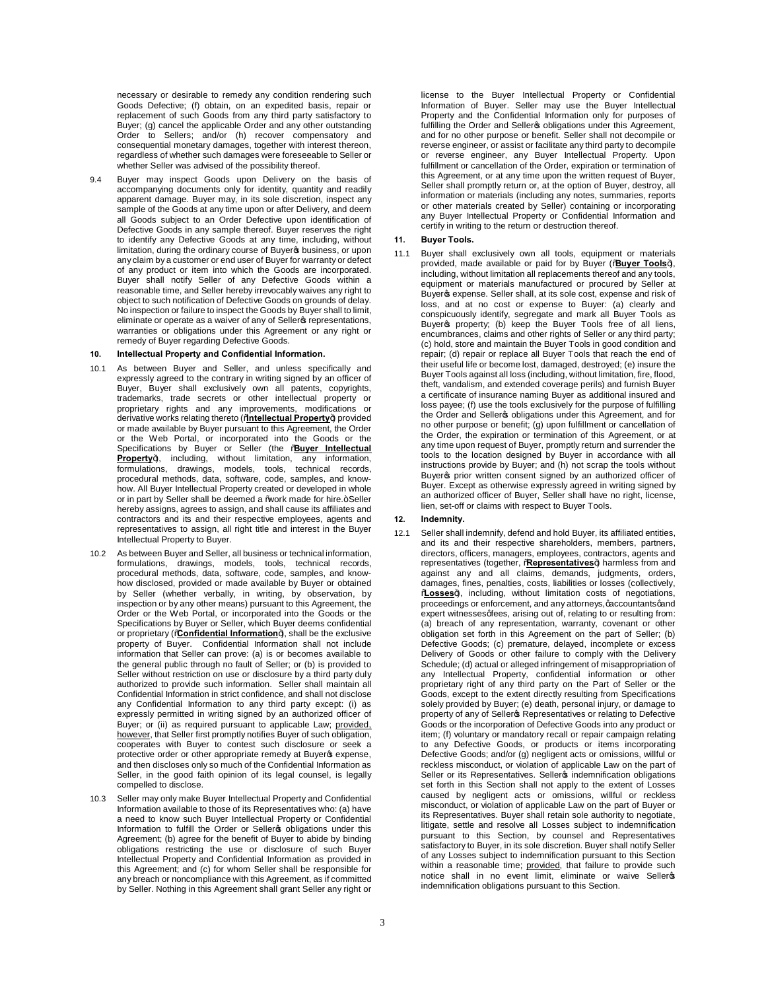necessary or desirable to remedy any condition rendering such Goods Defective; (f) obtain, on an expedited basis, repair or replacement of such Goods from any third party satisfactory to Buyer; (g) cancel the applicable Order and any other outstanding Order to Sellers; and/or (h) recover compensatory and consequential monetary damages, together with interest thereon, regardless of whether such damages were foreseeable to Seller or whether Seller was advised of the possibility thereof.

9.4 Buyer may inspect Goods upon Delivery on the basis of accompanying documents only for identity, quantity and readily apparent damage. Buyer may, in its sole discretion, inspect any sample of the Goods at any time upon or after Delivery, and deem all Goods subject to an Order Defective upon identification of Defective Goods in any sample thereof. Buyer reserves the right to identify any Defective Goods at any time, including, without limitation, during the ordinary course of Buyer<sup>®</sup> business, or upon any claim by a customer or end user of Buyer for warranty or defect of any product or item into which the Goods are incorporated. Buyer shall notify Seller of any Defective Goods within a reasonable time, and Seller hereby irrevocably waives any right to object to such notification of Defective Goods on grounds of delay. No inspection or failure to inspect the Goods by Buyer shall to limit, eliminate or operate as a waiver of any of Seller representations, warranties or obligations under this Agreement or any right or remedy of Buyer regarding Defective Goods.

# **10. Intellectual Property and Confidential Information.**

- 10.1 As between Buyer and Seller, and unless specifically and expressly agreed to the contrary in writing signed by an officer of Buyer, Buyer shall exclusively own all patents, copyrights, trademarks, trade secrets or other intellectual property or proprietary rights and any improvements, modifications or derivative works relating thereto ("**Intellectual Property**") provided or made available by Buyer pursuant to this Agreement, the Order or the Web Portal, or incorporated into the Goods or the Specifications by Buyer or Seller (the "**Buyer Intellectual**  Property+), including, without limitation, any information, formulations, drawings, models, tools, technical records, procedural methods, data, software, code, samples, and knowhow. All Buyer Intellectual Property created or developed in whole or in part by Seller shall be deemed a 'work made for hire.+Seller hereby assigns, agrees to assign, and shall cause its affiliates and contractors and its and their respective employees, agents and representatives to assign, all right title and interest in the Buyer Intellectual Property to Buyer.
- 10.2 As between Buyer and Seller, all business or technical information, formulations, drawings, models, tools, technical records, procedural methods, data, software, code, samples, and knowhow disclosed, provided or made available by Buyer or obtained by Seller (whether verbally, in writing, by observation, by inspection or by any other means) pursuant to this Agreement, the Order or the Web Portal, or incorporated into the Goods or the Specifications by Buyer or Seller, which Buyer deems confidential or proprietary (*Confidential Information+*), shall be the exclusive property of Buyer. Confidential Information shall not include information that Seller can prove: (a) is or becomes available to the general public through no fault of Seller; or (b) is provided to Seller without restriction on use or disclosure by a third party duly authorized to provide such information. Seller shall maintain all Confidential Information in strict confidence, and shall not disclose any Confidential Information to any third party except: (i) as expressly permitted in writing signed by an authorized officer of Buyer; or (ii) as required pursuant to applicable Law; provided, however, that Seller first promptly notifies Buyer of such obligation, cooperates with Buyer to contest such disclosure or seek a protective order or other appropriate remedy at Buyers expense, and then discloses only so much of the Confidential Information as Seller, in the good faith opinion of its legal counsel, is legally compelled to disclose.
- 10.3 Seller may only make Buyer Intellectual Property and Confidential Information available to those of its Representatives who: (a) have a need to know such Buyer Intellectual Property or Confidential Information to fulfill the Order or Seller obligations under this Agreement; (b) agree for the benefit of Buyer to abide by binding obligations restricting the use or disclosure of such Buyer Intellectual Property and Confidential Information as provided in this Agreement; and (c) for whom Seller shall be responsible for any breach or noncompliance with this Agreement, as if committed by Seller. Nothing in this Agreement shall grant Seller any right or

license to the Buyer Intellectual Property or Confidential Information of Buyer. Seller may use the Buyer Intellectual Property and the Confidential Information only for purposes of fulfilling the Order and Seller sobligations under this Agreement, and for no other purpose or benefit. Seller shall not decompile or reverse engineer, or assist or facilitate any third party to decompile or reverse engineer, any Buyer Intellectual Property. Upon fulfillment or cancellation of the Order, expiration or termination of this Agreement, or at any time upon the written request of Buyer, Seller shall promptly return or, at the option of Buyer, destroy, all information or materials (including any notes, summaries, reports or other materials created by Seller) containing or incorporating any Buyer Intellectual Property or Confidential Information and certify in writing to the return or destruction thereof.

# **11. Buyer Tools.**

11.1 Buyer shall exclusively own all tools, equipment or materials provided, made available or paid for by Buyer (% Buyer Tools+), including, without limitation all replacements thereof and any tools, equipment or materials manufactured or procured by Seller at Buyer & expense. Seller shall, at its sole cost, expense and risk of loss, and at no cost or expense to Buyer: (a) clearly and conspicuously identify, segregate and mark all Buyer Tools as Buyer of property; (b) keep the Buyer Tools free of all liens, encumbrances, claims and other rights of Seller or any third party; (c) hold, store and maintain the Buyer Tools in good condition and repair; (d) repair or replace all Buyer Tools that reach the end of their useful life or become lost, damaged, destroyed; (e) insure the Buyer Tools against all loss (including, without limitation, fire, flood, theft, vandalism, and extended coverage perils) and furnish Buyer a certificate of insurance naming Buyer as additional insured and loss payee; (f) use the tools exclusively for the purpose of fulfilling the Order and Seller<sub>®</sub> obligations under this Agreement, and for no other purpose or benefit; (g) upon fulfillment or cancellation of the Order, the expiration or termination of this Agreement, or at any time upon request of Buyer, promptly return and surrender the tools to the location designed by Buyer in accordance with all instructions provide by Buyer; and (h) not scrap the tools without Buyer prior written consent signed by an authorized officer of Buyer. Except as otherwise expressly agreed in writing signed by an authorized officer of Buyer, Seller shall have no right, license, lien, set-off or claims with respect to Buyer Tools.

## **12. Indemnity.**

12.1 Seller shall indemnify, defend and hold Buyer, its affiliated entities, and its and their respective shareholders, members, partners, directors, officers, managers, employees, contractors, agents and representatives (together, "**Representatives**") harmless from and against any and all claims, demands, judgments, orders, damages, fines, penalties, costs, liabilities or losses (collectively, %Losses+), including, without limitation costs of negotiations, proceedings or enforcement, and any attorneys, gaccountantsgand expert witnesses afees, arising out of, relating to or resulting from: (a) breach of any representation, warranty, covenant or other obligation set forth in this Agreement on the part of Seller; (b) Defective Goods; (c) premature, delayed, incomplete or excess Delivery of Goods or other failure to comply with the Delivery Schedule; (d) actual or alleged infringement of misappropriation of any Intellectual Property, confidential information or other proprietary right of any third party on the Part of Seller or the Goods, except to the extent directly resulting from Specifications solely provided by Buyer; (e) death, personal injury, or damage to property of any of Sellers Representatives or relating to Defective Goods or the incorporation of Defective Goods into any product or item; (f) voluntary or mandatory recall or repair campaign relating to any Defective Goods, or products or items incorporating Defective Goods; and/or (g) negligent acts or omissions, willful or reckless misconduct, or violation of applicable Law on the part of Seller or its Representatives. Seller indemnification obligations set forth in this Section shall not apply to the extent of Losses caused by negligent acts or omissions, willful or reckless misconduct, or violation of applicable Law on the part of Buyer or its Representatives. Buyer shall retain sole authority to negotiate, litigate, settle and resolve all Losses subject to indemnification pursuant to this Section, by counsel and Representatives satisfactory to Buyer, in its sole discretion. Buyer shall notify Seller of any Losses subject to indemnification pursuant to this Section within a reasonable time; provided, that failure to provide such notice shall in no event limit, eliminate or waive Selleros indemnification obligations pursuant to this Section.